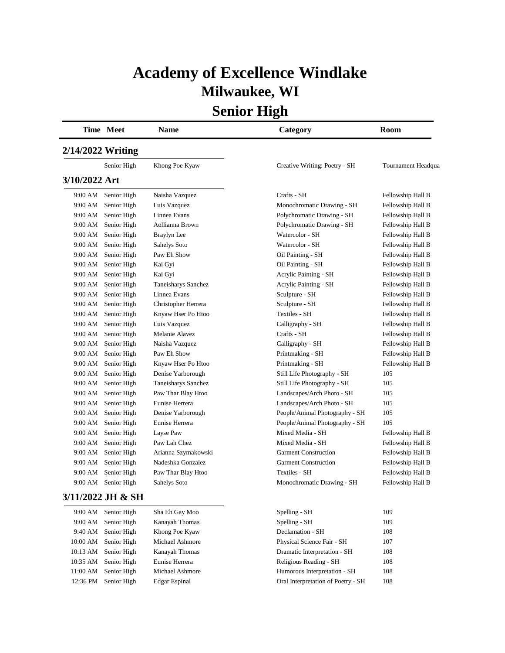## **Academy of Excellence Windlake Milwaukee, WI**

**Senior High**

|                   | Time Meet         | <b>Name</b>         | Category                       | <b>Room</b>        |
|-------------------|-------------------|---------------------|--------------------------------|--------------------|
| 2/14/2022 Writing |                   |                     |                                |                    |
|                   | Senior High       | Khong Poe Kyaw      | Creative Writing: Poetry - SH  | Tournament Headqua |
| 3/10/2022 Art     |                   |                     |                                |                    |
| 9:00 AM           | Senior High       | Naisha Vazquez      | Crafts - SH                    | Fellowship Hall B  |
| 9:00 AM           | Senior High       | Luis Vazquez        | Monochromatic Drawing - SH     | Fellowship Hall B  |
| 9:00 AM           | Senior High       | Linnea Evans        | Polychromatic Drawing - SH     | Fellowship Hall B  |
| 9:00 AM           | Senior High       | Aollianna Brown     | Polychromatic Drawing - SH     | Fellowship Hall B  |
| 9:00 AM           | Senior High       | Braylyn Lee         | Watercolor - SH                | Fellowship Hall B  |
| 9:00 AM           | Senior High       | Sahelys Soto        | Watercolor - SH                | Fellowship Hall B  |
| 9:00 AM           | Senior High       | Paw Eh Show         | Oil Painting - SH              | Fellowship Hall B  |
| 9:00 AM           | Senior High       | Kai Gyi             | Oil Painting - SH              | Fellowship Hall B  |
| 9:00 AM           | Senior High       | Kai Gyi             | Acrylic Painting - SH          | Fellowship Hall B  |
| 9:00 AM           | Senior High       | Taneisharys Sanchez | Acrylic Painting - SH          | Fellowship Hall B  |
| 9:00 AM           | Senior High       | Linnea Evans        | Sculpture - SH                 | Fellowship Hall B  |
| 9:00 AM           | Senior High       | Christopher Herrera | Sculpture - SH                 | Fellowship Hall B  |
| 9:00 AM           | Senior High       | Knyaw Hser Po Htoo  | Textiles - SH                  | Fellowship Hall B  |
| 9:00 AM           | Senior High       | Luis Vazquez        | Calligraphy - SH               | Fellowship Hall B  |
| 9:00 AM           | Senior High       | Melanie Alavez      | Crafts - SH                    | Fellowship Hall B  |
| 9:00 AM           | Senior High       | Naisha Vazquez      | Calligraphy - SH               | Fellowship Hall B  |
| 9:00 AM           | Senior High       | Paw Eh Show         | Printmaking - SH               | Fellowship Hall B  |
| 9:00 AM           | Senior High       | Knyaw Hser Po Htoo  | Printmaking - SH               | Fellowship Hall B  |
| 9:00 AM           | Senior High       | Denise Yarborough   | Still Life Photography - SH    | 105                |
| 9:00 AM           | Senior High       | Taneisharys Sanchez | Still Life Photography - SH    | 105                |
| 9:00 AM           | Senior High       | Paw Thar Blay Htoo  | Landscapes/Arch Photo - SH     | 105                |
| 9:00 AM           | Senior High       | Eunise Herrera      | Landscapes/Arch Photo - SH     | 105                |
| 9:00 AM           | Senior High       | Denise Yarborough   | People/Animal Photography - SH | 105                |
| 9:00 AM           | Senior High       | Eunise Herrera      | People/Animal Photography - SH | 105                |
| 9:00 AM           | Senior High       | Layse Paw           | Mixed Media - SH               | Fellowship Hall B  |
| 9:00 AM           | Senior High       | Paw Lah Chez        | Mixed Media - SH               | Fellowship Hall B  |
| 9:00 AM           | Senior High       | Arianna Szymakowski | <b>Garment Construction</b>    | Fellowship Hall B  |
| 9:00 AM           | Senior High       | Nadeshka Gonzalez   | <b>Garment Construction</b>    | Fellowship Hall B  |
| 9:00 AM           | Senior High       | Paw Thar Blay Htoo  | Textiles - SH                  | Fellowship Hall B  |
| 9:00 AM           | Senior High       | Sahelys Soto        | Monochromatic Drawing - SH     | Fellowship Hall B  |
|                   | 3/11/2022 JH & SH |                     |                                |                    |
| 9:00 AM           | Senior High       | Sha Eh Gay Moo      | Spelling - SH                  | 109                |
| 9:00 AM           | Senior High       | Kanayah Thomas      | Spelling - SH                  | 109                |
| 9:40 AM           | Senior High       | Khong Poe Kyaw      | Declamation - SH               | 108                |
| 10:00 AM          | Senior High       | Michael Ashmore     | Physical Science Fair - SH     | 107                |
| 10:13 AM          | Senior High       | Kanayah Thomas      | Dramatic Interpretation - SH   | 108                |
| 10:35 AM          | Senior High       | Eunise Herrera      | Religious Reading - SH         | 108                |

11:00 AM Senior High Michael Ashmore Humorous Interpretation - SH 108 12:36 PM Senior High Edgar Espinal Oral Interpretation of Poetry - SH 108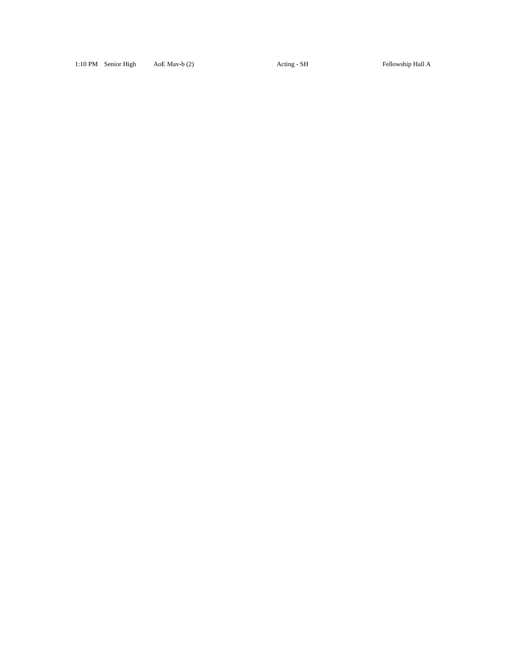#### 1:10 PM Senior High AoE Mav-b (2) Acting - SH Fellowship Hall A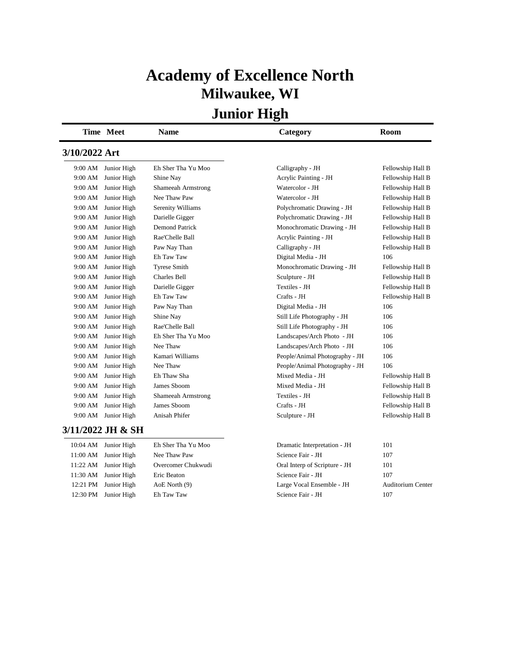## **Academy of Excellence North Milwaukee, WI**

|               | Time Meet                      | <b>Name</b>           | Category                                        | Room              |
|---------------|--------------------------------|-----------------------|-------------------------------------------------|-------------------|
| 3/10/2022 Art |                                |                       |                                                 |                   |
| 9:00 AM       | Junior High                    | Eh Sher Tha Yu Moo    | Calligraphy - JH                                | Fellowship Hall B |
| 9:00 AM       | Junior High                    | Shine Nay             | Acrylic Painting - JH                           | Fellowship Hall B |
| 9:00 AM       | Junior High                    | Shameeah Armstrong    | Watercolor - JH                                 | Fellowship Hall B |
| 9:00 AM       | Junior High                    | Nee Thaw Paw          | Watercolor - JH                                 | Fellowship Hall B |
| 9:00 AM       | Junior High                    | Serenity Williams     | Polychromatic Drawing - JH                      | Fellowship Hall B |
| 9:00 AM       | Junior High                    | Darielle Gigger       | Polychromatic Drawing - JH                      | Fellowship Hall B |
| 9:00 AM       | Junior High                    | <b>Demond Patrick</b> | Monochromatic Drawing - JH                      | Fellowship Hall B |
| 9:00 AM       | Junior High                    | Rae'Chelle Ball       | Acrylic Painting - JH                           | Fellowship Hall B |
| 9:00 AM       | Junior High                    | Paw Nay Than          | Calligraphy - JH                                | Fellowship Hall B |
| 9:00 AM       | Junior High                    | Eh Taw Taw            | Digital Media - JH                              | 106               |
| 9:00 AM       | Junior High                    | <b>Tyrese Smith</b>   | Monochromatic Drawing - JH                      | Fellowship Hall B |
| 9:00 AM       | Junior High                    | <b>Charles Bell</b>   | Sculpture - JH                                  | Fellowship Hall B |
| 9:00 AM       | Junior High                    | Darielle Gigger       | Textiles - JH                                   | Fellowship Hall B |
| 9:00 AM       | Junior High                    | Eh Taw Taw            | Crafts - JH                                     | Fellowship Hall B |
| 9:00 AM       | Junior High                    | Paw Nay Than          | Digital Media - JH                              | 106               |
| 9:00 AM       | Junior High                    | Shine Nay             | Still Life Photography - JH                     | 106               |
| 9:00 AM       | Junior High                    | Rae'Chelle Ball       | Still Life Photography - JH                     | 106               |
| 9:00 AM       | Junior High                    | Eh Sher Tha Yu Moo    | Landscapes/Arch Photo - JH                      | 106               |
| 9:00 AM       | Junior High                    | Nee Thaw              | Landscapes/Arch Photo - JH                      | 106               |
| 9:00 AM       | Junior High                    | Kamari Williams       | People/Animal Photography - JH                  | 106               |
| 9:00 AM       | Junior High                    | Nee Thaw              | People/Animal Photography - JH                  | 106               |
| 9:00 AM       | Junior High                    | Eh Thaw Sha           | Mixed Media - JH                                | Fellowship Hall B |
| 9:00 AM       | Junior High                    | James Sboom           | Mixed Media - JH                                | Fellowship Hall B |
| 9:00 AM       | Junior High                    | Shameeah Armstrong    | Textiles - JH                                   | Fellowship Hall B |
| 9:00 AM       | Junior High                    | James Sboom           | Crafts - JH                                     | Fellowship Hall B |
| 9:00 AM       | Junior High                    | Anisah Phifer         | Sculpture - JH                                  | Fellowship Hall B |
|               | 3/11/2022 JH & SH              |                       |                                                 |                   |
|               | 10:04 AM Junior High           | Eh Sher Tha Yu Moo    | Dramatic Interpretation - JH                    | 101               |
|               | $11.00 \text{ AM}$ Ingian High | Mag Tham Dam          | $C_{\text{obs}}$ on $D_{\text{obs}}$ of $H$ $I$ | 107               |

|          | $10:04$ AM Junior High | En Sner Ina Yu Moo | Dramatic Interpretation - JH  | 10 L                     |
|----------|------------------------|--------------------|-------------------------------|--------------------------|
|          | 11:00 AM Junior High   | Nee Thaw Paw       | Science Fair - JH             | 107                      |
|          | $11:22$ AM Junior High | Overcomer Chukwudi | Oral Interp of Scripture - JH | 101                      |
|          | 11:30 AM Junior High   | Eric Beaton        | Science Fair - JH             | 107                      |
| 12:21 PM | Junior High            | AoE North (9)      | Large Vocal Ensemble - JH     | <b>Auditorium Center</b> |
| 12:30 PM | Junior High            | Eh Taw Taw         | Science Fair - JH             | 107                      |
|          |                        |                    |                               |                          |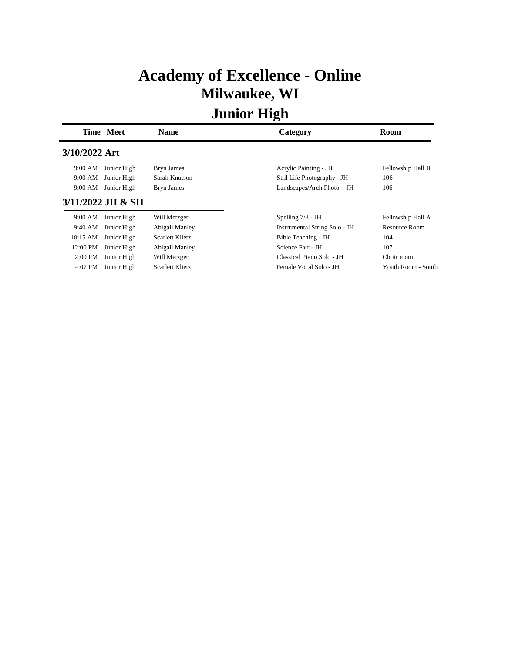## **Academy of Excellence - Online Milwaukee, WI**

|               | Time Meet         | <b>Name</b>            | Category                      | Room               |
|---------------|-------------------|------------------------|-------------------------------|--------------------|
| 3/10/2022 Art |                   |                        |                               |                    |
| 9:00 AM       | Junior High       | Bryn James             | Acrylic Painting - JH         | Fellowship Hall B  |
| 9:00 AM       | Junior High       | Sarah Knutson          | Still Life Photography - JH   | 106                |
| 9:00 AM       | Junior High       | Bryn James             | Landscapes/Arch Photo - JH    | 106                |
|               | 3/11/2022 JH & SH |                        |                               |                    |
| 9:00 AM       | Junior High       | Will Metzger           | Spelling $7/8$ - JH           | Fellowship Hall A  |
| 9:40 AM       | Junior High       | Abigail Manley         | Instrumental String Solo - JH | Resource Room      |
| 10:15 AM      | Junior High       | Scarlett Klietz        | Bible Teaching - JH           | 104                |
| 12:00 PM      | Junior High       | Abigail Manley         | Science Fair - JH             | 107                |
| $2:00$ PM     | Junior High       | Will Metzger           | Classical Piano Solo - JH     | Choir room         |
| 4:07 PM       | Junior High       | <b>Scarlett Klietz</b> | Female Vocal Solo - JH        | Youth Room - South |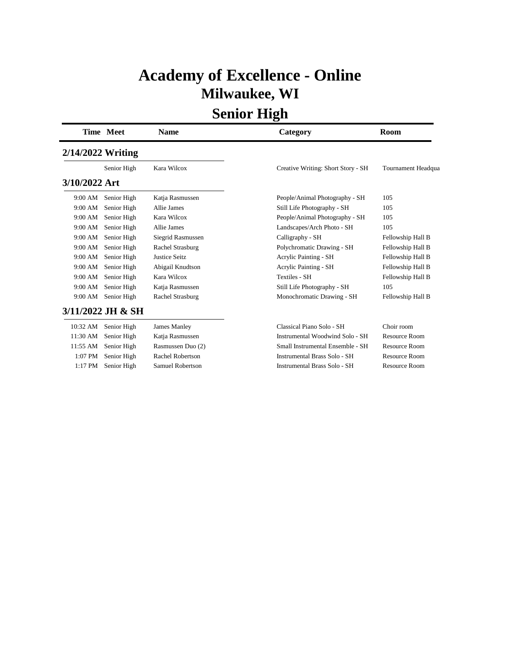## **Academy of Excellence - Online Milwaukee, WI**

|                   | <b>Time Meet</b>  | <b>Name</b>          | Category                           | Room               |
|-------------------|-------------------|----------------------|------------------------------------|--------------------|
| 2/14/2022 Writing |                   |                      |                                    |                    |
|                   | Senior High       | Kara Wilcox          | Creative Writing: Short Story - SH | Tournament Headqua |
| 3/10/2022 Art     |                   |                      |                                    |                    |
| 9:00 AM           | Senior High       | Katja Rasmussen      | People/Animal Photography - SH     | 105                |
| 9:00 AM           | Senior High       | Allie James          | Still Life Photography - SH        | 105                |
| 9:00 AM           | Senior High       | Kara Wilcox          | People/Animal Photography - SH     | 105                |
| 9:00 AM           | Senior High       | Allie James          | Landscapes/Arch Photo - SH         | 105                |
| 9:00 AM           | Senior High       | Siegrid Rasmussen    | Calligraphy - SH                   | Fellowship Hall B  |
| 9:00 AM           | Senior High       | Rachel Strasburg     | Polychromatic Drawing - SH         | Fellowship Hall B  |
| 9:00 AM           | Senior High       | <b>Justice Seitz</b> | Acrylic Painting - SH              | Fellowship Hall B  |
| 9:00 AM           | Senior High       | Abigail Knudtson     | <b>Acrylic Painting - SH</b>       | Fellowship Hall B  |
| 9:00 AM           | Senior High       | Kara Wilcox          | <b>Textiles - SH</b>               | Fellowship Hall B  |
| 9:00 AM           | Senior High       | Katja Rasmussen      | Still Life Photography - SH        | 105                |
| 9:00 AM           | Senior High       | Rachel Strasburg     | Monochromatic Drawing - SH         | Fellowship Hall B  |
|                   | 3/11/2022 JH & SH |                      |                                    |                    |
| 10:32 AM          | Senior High       | James Manley         | Classical Piano Solo - SH          | Choir room         |
| 11:30 AM          | Senior High       | Katja Rasmussen      | Instrumental Woodwind Solo - SH    | Resource Room      |
| 11:55 AM          | Senior High       | Rasmussen Duo (2)    | Small Instrumental Ensemble - SH   | Resource Room      |
| 1:07 PM           | Senior High       | Rachel Robertson     | Instrumental Brass Solo - SH       | Resource Room      |
| $1:17$ PM         | Senior High       | Samuel Robertson     | Instrumental Brass Solo - SH       | Resource Room      |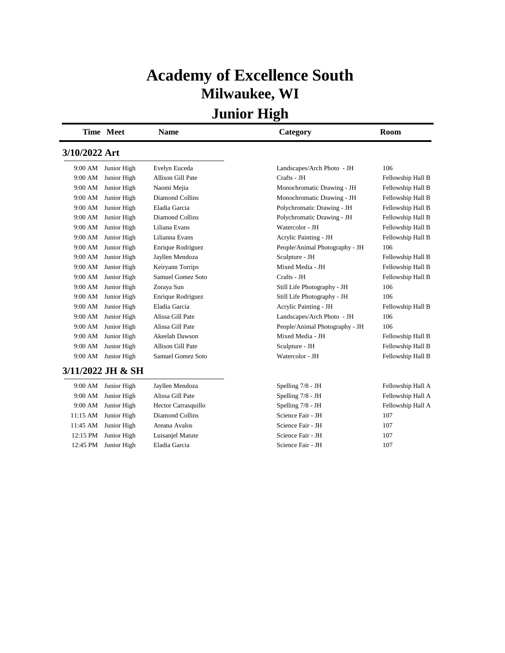## **Academy of Excellence South Milwaukee, WI**

|               | <b>Time Meet</b>  | <b>Name</b>         | Category                       | <b>Room</b>       |
|---------------|-------------------|---------------------|--------------------------------|-------------------|
| 3/10/2022 Art |                   |                     |                                |                   |
| 9:00 AM       | Junior High       | Evelyn Euceda       | Landscapes/Arch Photo - JH     | 106               |
| 9:00 AM       | Junior High       | Allison Gill Pate   | Crafts - JH                    | Fellowship Hall B |
| 9:00 AM       | Junior High       | Naomi Mejia         | Monochromatic Drawing - JH     | Fellowship Hall B |
| 9:00 AM       | Junior High       | Diamond Collins     | Monochromatic Drawing - JH     | Fellowship Hall B |
| 9:00 AM       | Junior High       | Eladia Garcia       | Polychromatic Drawing - JH     | Fellowship Hall B |
| 9:00 AM       | Junior High       | Diamond Collins     | Polychromatic Drawing - JH     | Fellowship Hall B |
| 9:00 AM       | Junior High       | Liliana Evans       | Watercolor - JH                | Fellowship Hall B |
| 9:00 AM       | Junior High       | Lilianna Evans      | Acrylic Painting - JH          | Fellowship Hall B |
| 9:00 AM       | Junior High       | Enrique Rodriguez   | People/Animal Photography - JH | 106               |
| 9:00 AM       | Junior High       | Jayllen Mendoza     | Sculpture - JH                 | Fellowship Hall B |
| 9:00 AM       | Junior High       | Keiryann Torrips    | Mixed Media - JH               | Fellowship Hall B |
| 9:00 AM       | Junior High       | Samuel Gomez Soto   | Crafts - JH                    | Fellowship Hall B |
| 9:00 AM       | Junior High       | Zoraya Sun          | Still Life Photography - JH    | 106               |
| 9:00 AM       | Junior High       | Enrique Rodriguez   | Still Life Photography - JH    | 106               |
| 9:00 AM       | Junior High       | Eladia Garcia       | Acrylic Painting - JH          | Fellowship Hall B |
| 9:00 AM       | Junior High       | Alissa Gill Pate    | Landscapes/Arch Photo - JH     | 106               |
| 9:00 AM       | Junior High       | Alissa Gill Pate    | People/Animal Photography - JH | 106               |
| 9:00 AM       | Junior High       | Akeelah Dawson      | Mixed Media - JH               | Fellowship Hall B |
| 9:00 AM       | Junior High       | Allison Gill Pate   | Sculpture - JH                 | Fellowship Hall B |
| 9:00 AM       | Junior High       | Samuel Gomez Soto   | Watercolor - JH                | Fellowship Hall B |
|               | 3/11/2022 JH & SH |                     |                                |                   |
| 9:00 AM       | Junior High       | Jayllen Mendoza     | Spelling 7/8 - JH              | Fellowship Hall A |
| 9:00 AM       | Junior High       | Alissa Gill Pate    | Spelling 7/8 - JH              | Fellowship Hall A |
| 9:00 AM       | Junior High       | Hector Carrasquillo | Spelling 7/8 - JH              | Fellowship Hall A |
| 11:15 AM      | Junior High       | Diamond Collins     | Science Fair - JH              | 107               |
| 11:45 AM      | Junior High       | Areana Avalos       | Science Fair - JH              | 107               |
| 12:15 PM      | Junior High       | Luisanjel Matute    | Science Fair - JH              | 107               |
| 12:45 PM      | Junior High       | Eladia Garcia       | Science Fair - JH              | 107               |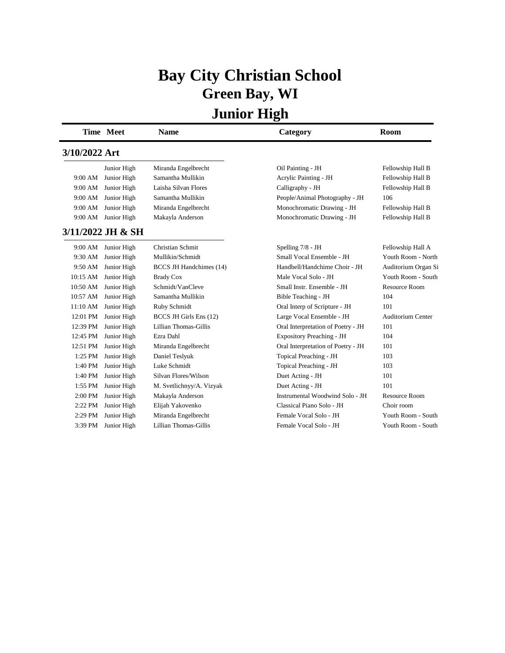# **Bay City Christian School Green Bay, WI**

|               | Time Meet           | <b>Name</b>                    | Category                           | Room                     |
|---------------|---------------------|--------------------------------|------------------------------------|--------------------------|
| 3/10/2022 Art |                     |                                |                                    |                          |
|               | Junior High         | Miranda Engelbrecht            | Oil Painting - JH                  | Fellowship Hall B        |
| 9:00 AM       | Junior High         | Samantha Mullikin              | Acrylic Painting - JH              | Fellowship Hall B        |
| 9:00 AM       | Junior High         | Laisha Silvan Flores           | Calligraphy - JH                   | Fellowship Hall B        |
| 9:00 AM       | Junior High         | Samantha Mullikin              | People/Animal Photography - JH     | 106                      |
| 9:00 AM       | Junior High         | Miranda Engelbrecht            | Monochromatic Drawing - JH         | Fellowship Hall B        |
| 9:00 AM       | Junior High         | Makayla Anderson               | Monochromatic Drawing - JH         | Fellowship Hall B        |
|               | 3/11/2022 JH & SH   |                                |                                    |                          |
| 9:00 AM       | Junior High         | Christian Schmit               | Spelling 7/8 - JH                  | Fellowship Hall A        |
| 9:30 AM       | Junior High         | Mullikin/Schmidt               | Small Vocal Ensemble - JH          | Youth Room - North       |
| 9:50 AM       | Junior High         | <b>BCCS JH Handchimes (14)</b> | Handbell/Handchime Choir - JH      | Auditorium Organ Si      |
| 10:15 AM      | Junior High         | <b>Brady Cox</b>               | Male Vocal Solo - JH               | Youth Room - South       |
| 10:50 AM      | Junior High         | Schmidt/VanCleve               | Small Instr. Ensemble - JH         | Resource Room            |
| 10:57 AM      | Junior High         | Samantha Mullikin              | Bible Teaching - JH                | 104                      |
| 11:10 AM      | Junior High         | Ruby Schmidt                   | Oral Interp of Scripture - JH      | 101                      |
| 12:01 PM      | Junior High         | BCCS JH Girls Ens (12)         | Large Vocal Ensemble - JH          | <b>Auditorium Center</b> |
| 12:39 PM      | Junior High         | Lillian Thomas-Gillis          | Oral Interpretation of Poetry - JH | 101                      |
| 12:45 PM      | Junior High         | Ezra Dahl                      | Expository Preaching - JH          | 104                      |
| 12:51 PM      | Junior High         | Miranda Engelbrecht            | Oral Interpretation of Poetry - JH | 101                      |
| $1:25$ PM     | Junior High         | Daniel Teslyuk                 | Topical Preaching - JH             | 103                      |
| 1:40 PM       | Junior High         | Luke Schmidt                   | Topical Preaching - JH             | 103                      |
| 1:40 PM       | Junior High         | Silvan Flores/Wilson           | Duet Acting - JH                   | 101                      |
| 1:55 PM       | Junior High         | M. Svetlichnyy/A. Vizyak       | Duet Acting - JH                   | 101                      |
| 2:00 PM       | Junior High         | Makayla Anderson               | Instrumental Woodwind Solo - JH    | Resource Room            |
| 2:22 PM       | Junior High         | Elijah Yakovenko               | Classical Piano Solo - JH          | Choir room               |
| 2:29 PM       | Junior High         | Miranda Engelbrecht            | Female Vocal Solo - JH             | Youth Room - South       |
|               | 3:39 PM Junior High | Lillian Thomas-Gillis          | Female Vocal Solo - JH             | Youth Room - South       |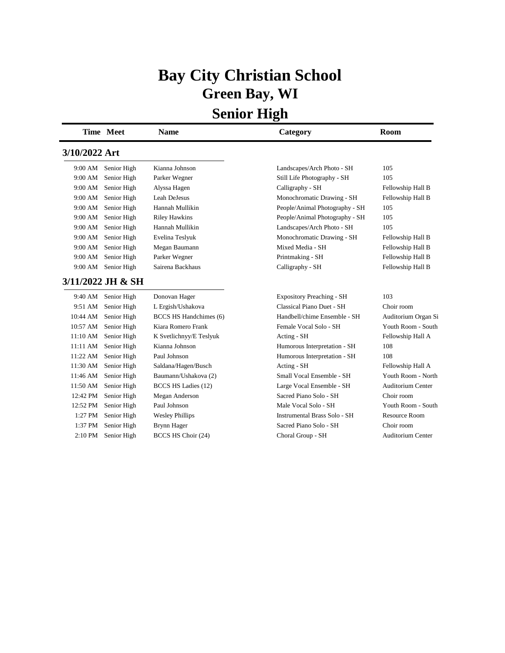# **Bay City Christian School Green Bay, WI**

|               | <b>Time Meet</b>  | <b>Name</b>                   | Category                         | <b>Room</b>              |
|---------------|-------------------|-------------------------------|----------------------------------|--------------------------|
| 3/10/2022 Art |                   |                               |                                  |                          |
| 9:00 AM       | Senior High       | Kianna Johnson                | Landscapes/Arch Photo - SH       | 105                      |
| 9:00 AM       | Senior High       | Parker Wegner                 | Still Life Photography - SH      | 105                      |
| 9:00 AM       | Senior High       | Alyssa Hagen                  | Calligraphy - SH                 | Fellowship Hall B        |
| 9:00 AM       | Senior High       | Leah DeJesus                  | Monochromatic Drawing - SH       | Fellowship Hall B        |
| 9:00 AM       | Senior High       | Hannah Mullikin               | People/Animal Photography - SH   | 105                      |
| 9:00 AM       | Senior High       | <b>Riley Hawkins</b>          | People/Animal Photography - SH   | 105                      |
| 9:00 AM       | Senior High       | Hannah Mullikin               | Landscapes/Arch Photo - SH       | 105                      |
| 9:00 AM       | Senior High       | Evelina Teslyuk               | Monochromatic Drawing - SH       | Fellowship Hall B        |
| 9:00 AM       | Senior High       | Megan Baumann                 | Mixed Media - SH                 | Fellowship Hall B        |
| 9:00 AM       | Senior High       | Parker Wegner                 | Printmaking - SH                 | Fellowship Hall B        |
| 9:00 AM       | Senior High       | Sairena Backhaus              | Calligraphy - SH                 | Fellowship Hall B        |
|               | 3/11/2022 JH & SH |                               |                                  |                          |
| 9:40 AM       | Senior High       | Donovan Hager                 | <b>Expository Preaching - SH</b> | 103                      |
| 9:51 AM       | Senior High       | L Ergish/Ushakova             | Classical Piano Duet - SH        | Choir room               |
| 10:44 AM      | Senior High       | <b>BCCS HS Handchimes (6)</b> | Handbell/chime Ensemble - SH     | Auditorium Organ Si      |
| 10:57 AM      | Senior High       | Kiara Romero Frank            | Female Vocal Solo - SH           | Youth Room - South       |
| 11:10 AM      | Senior High       | K Svetlichnyy/E Teslyuk       | Acting - SH                      | Fellowship Hall A        |
| 11:11 AM      | Senior High       | Kianna Johnson                | Humorous Interpretation - SH     | 108                      |
| 11:22 AM      | Senior High       | Paul Johnson                  | Humorous Interpretation - SH     | 108                      |
| 11:30 AM      | Senior High       | Saldana/Hagen/Busch           | Acting - SH                      | Fellowship Hall A        |
| 11:46 AM      | Senior High       | Baumann/Ushakova (2)          | Small Vocal Ensemble - SH        | Youth Room - North       |
| 11:50 AM      | Senior High       | BCCS HS Ladies (12)           | Large Vocal Ensemble - SH        | <b>Auditorium Center</b> |
| 12:42 PM      | Senior High       | Megan Anderson                | Sacred Piano Solo - SH           | Choir room               |
| 12:52 PM      | Senior High       | Paul Johnson                  | Male Vocal Solo - SH             | Youth Room - South       |
| 1:27 PM       | Senior High       | <b>Wesley Phillips</b>        | Instrumental Brass Solo - SH     | Resource Room            |
| 1:37 PM       | Senior High       | Brynn Hager                   | Sacred Piano Solo - SH           | Choir room               |
| 2:10 PM       | Senior High       | BCCS HS Choir (24)            | Choral Group - SH                | <b>Auditorium Center</b> |
|               |                   |                               |                                  |                          |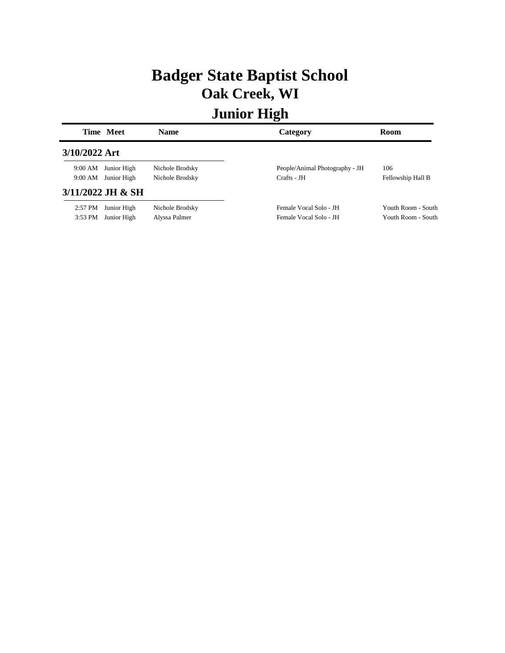## **Badger State Baptist School Oak Creek, WI**

|               | Time Meet           | <b>Name</b>     | Category                       | <b>Room</b>        |
|---------------|---------------------|-----------------|--------------------------------|--------------------|
| 3/10/2022 Art |                     |                 |                                |                    |
| 9:00 AM       | Junior High         | Nichole Brodsky | People/Animal Photography - JH | 106                |
| 9:00 AM       | Junior High         | Nichole Brodsky | Crafts - JH                    | Fellowship Hall B  |
|               | $3/11/2022$ JH & SH |                 |                                |                    |
| $2:57$ PM     | Junior High         | Nichole Brodsky | Female Vocal Solo - JH         | Youth Room - South |
| $3:53$ PM     | Junior High         | Alyssa Palmer   | Female Vocal Solo - JH         | Youth Room - South |
|               |                     |                 |                                |                    |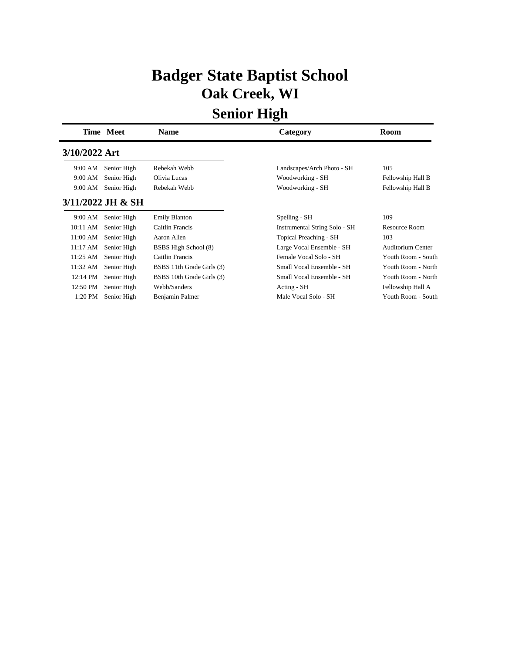## **Badger State Baptist School Oak Creek, WI**

|               | Time Meet         | Name                      | Category                      | Room                     |
|---------------|-------------------|---------------------------|-------------------------------|--------------------------|
| 3/10/2022 Art |                   |                           |                               |                          |
| 9:00 AM       | Senior High       | Rebekah Webb              | Landscapes/Arch Photo - SH    | 105                      |
| 9:00 AM       | Senior High       | Olivia Lucas              | Woodworking - SH              | Fellowship Hall B        |
| 9:00 AM       | Senior High       | Rebekah Webb              | Woodworking - SH              | Fellowship Hall B        |
|               | 3/11/2022 JH & SH |                           |                               |                          |
| 9:00 AM       | Senior High       | <b>Emily Blanton</b>      | Spelling - SH                 | 109                      |
| 10:11 AM      | Senior High       | Caitlin Francis           | Instrumental String Solo - SH | <b>Resource Room</b>     |
| 11:00 AM      | Senior High       | Aaron Allen               | Topical Preaching - SH        | 103                      |
| 11:17 AM      | Senior High       | BSBS High School (8)      | Large Vocal Ensemble - SH     | <b>Auditorium Center</b> |
| 11:25 AM      | Senior High       | Caitlin Francis           | Female Vocal Solo - SH        | Youth Room - South       |
| 11:32 AM      | Senior High       | BSBS 11th Grade Girls (3) | Small Vocal Ensemble - SH     | Youth Room - North       |
| 12:14 PM      | Senior High       | BSBS 10th Grade Girls (3) | Small Vocal Ensemble - SH     | Youth Room - North       |
| 12:50 PM      | Senior High       | Webb/Sanders              | Acting - SH                   | Fellowship Hall A        |
| 1:20 PM       | Senior High       | Benjamin Palmer           | Male Vocal Solo - SH          | Youth Room - South       |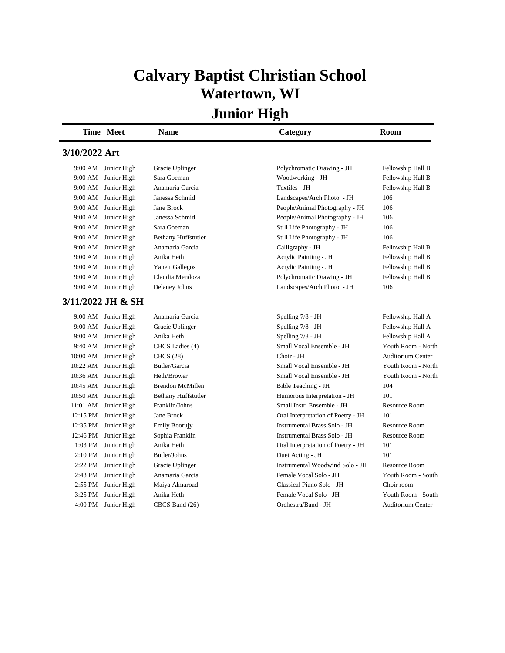## **Calvary Baptist Christian School Watertown, WI**

|               | Time Meet           | Name                       | Category                           | Room                     |
|---------------|---------------------|----------------------------|------------------------------------|--------------------------|
| 3/10/2022 Art |                     |                            |                                    |                          |
| 9:00 AM       | Junior High         | Gracie Uplinger            | Polychromatic Drawing - JH         | Fellowship Hall B        |
| 9:00 AM       | Junior High         | Sara Goeman                | Woodworking - JH                   | Fellowship Hall B        |
| 9:00 AM       | Junior High         | Anamaria Garcia            | Textiles - JH                      | Fellowship Hall B        |
| 9:00 AM       | Junior High         | Janessa Schmid             | Landscapes/Arch Photo - JH         | 106                      |
| 9:00 AM       | Junior High         | Jane Brock                 | People/Animal Photography - JH     | 106                      |
| 9:00 AM       | Junior High         | Janessa Schmid             | People/Animal Photography - JH     | 106                      |
| 9:00 AM       | Junior High         | Sara Goeman                | Still Life Photography - JH        | 106                      |
| 9:00 AM       | Junior High         | <b>Bethany Huffstutler</b> | Still Life Photography - JH        | 106                      |
| 9:00 AM       | Junior High         | Anamaria Garcia            | Calligraphy - JH                   | Fellowship Hall B        |
| 9:00 AM       | Junior High         | Anika Heth                 | Acrylic Painting - JH              | Fellowship Hall B        |
| 9:00 AM       | Junior High         | <b>Yanett Gallegos</b>     | Acrylic Painting - JH              | Fellowship Hall B        |
| 9:00 AM       | Junior High         | Claudia Mendoza            | Polychromatic Drawing - JH         | Fellowship Hall B        |
| 9:00 AM       | Junior High         | Delaney Johns              | Landscapes/Arch Photo - JH         | 106                      |
|               | 3/11/2022 JH & SH   |                            |                                    |                          |
|               | 9:00 AM Junior High | Anamaria Garcia            | Spelling $7/8$ - JH                | Fellowship Hall A        |
| 9:00 AM       | Junior High         | Gracie Uplinger            | Spelling 7/8 - JH                  | Fellowship Hall A        |
| 9:00 AM       | Junior High         | Anika Heth                 | Spelling 7/8 - JH                  | Fellowship Hall A        |
| 9:40 AM       | Junior High         | CBCS Ladies (4)            | Small Vocal Ensemble - JH          | Youth Room - North       |
| 10:00 AM      | Junior High         | <b>CBCS</b> (28)           | Choir - JH                         | <b>Auditorium Center</b> |
| 10:22 AM      | Junior High         | Butler/Garcia              | Small Vocal Ensemble - JH          | Youth Room - North       |
| 10:36 AM      | Junior High         | Heth/Brower                | Small Vocal Ensemble - JH          | Youth Room - North       |
| 10:45 AM      | Junior High         | <b>Brendon McMillen</b>    | Bible Teaching - JH                | 104                      |
| 10:50 AM      | Junior High         | <b>Bethany Huffstutler</b> | Humorous Interpretation - JH       | 101                      |
| 11:01 AM      | Junior High         | Franklin/Johns             | Small Instr. Ensemble - JH         | <b>Resource Room</b>     |
| 12:15 PM      | Junior High         | Jane Brock                 | Oral Interpretation of Poetry - JH | 101                      |
| 12:35 PM      | Junior High         | <b>Emily Boorujy</b>       | Instrumental Brass Solo - JH       | <b>Resource Room</b>     |
| 12:46 PM      | Junior High         | Sophia Franklin            | Instrumental Brass Solo - JH       | Resource Room            |
| 1:03 PM       | Junior High         | Anika Heth                 | Oral Interpretation of Poetry - JH | 101                      |
| 2:10 PM       | Junior High         | Butler/Johns               | Duet Acting - JH                   | 101                      |
| 2:22 PM       | Junior High         | Gracie Uplinger            | Instrumental Woodwind Solo - JH    | <b>Resource Room</b>     |
| 2:43 PM       | Junior High         | Anamaria Garcia            | Female Vocal Solo - JH             | Youth Room - South       |
| 2:55 PM       | Junior High         | Maiya Almaroad             | Classical Piano Solo - JH          | Choir room               |
| 3:25 PM       | Junior High         | Anika Heth                 | Female Vocal Solo - JH             | Youth Room - South       |
| 4:00 PM       | Junior High         | CBCS Band (26)             | Orchestra/Band - JH                | <b>Auditorium Center</b> |
|               |                     |                            |                                    |                          |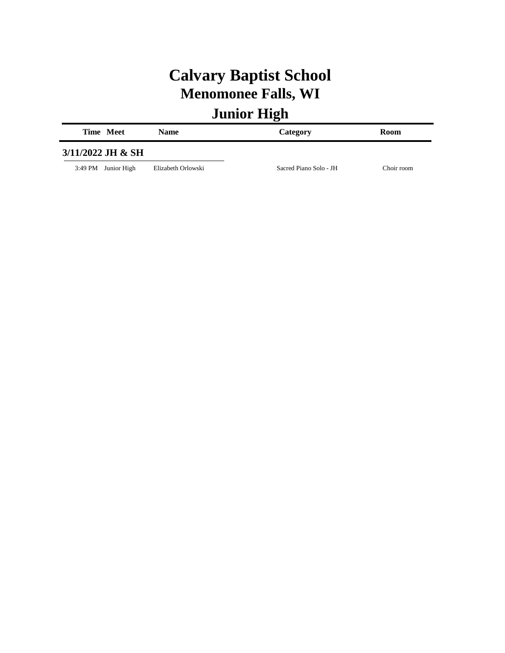# **Calvary Baptist School Menomonee Falls, WI**

| Time Meet           | <b>Name</b>        | Category               | <b>Room</b> |
|---------------------|--------------------|------------------------|-------------|
| 3/11/2022 JH & SH   |                    |                        |             |
| 3:49 PM Junior High | Elizabeth Orlowski | Sacred Piano Solo - JH | Choir room  |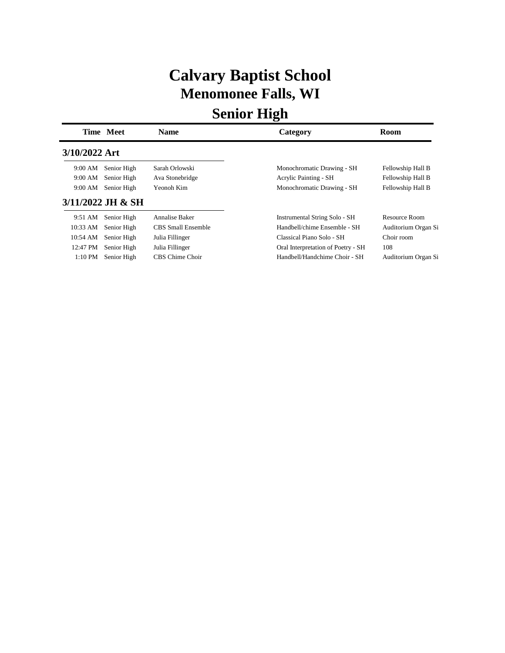## **Calvary Baptist School Menomonee Falls, WI**

|               | Time Meet           | <b>Name</b>        | Category                           | Room                |
|---------------|---------------------|--------------------|------------------------------------|---------------------|
| 3/10/2022 Art |                     |                    |                                    |                     |
| 9:00 AM       | Senior High         | Sarah Orlowski     | Monochromatic Drawing - SH         | Fellowship Hall B   |
| 9:00 AM       | Senior High         | Ava Stonebridge    | <b>Acrylic Painting - SH</b>       | Fellowship Hall B   |
| 9:00 AM       | Senior High         | Yeonoh Kim         | Monochromatic Drawing - SH         | Fellowship Hall B   |
|               | $3/11/2022$ JH & SH |                    |                                    |                     |
| 9:51 AM       | Senior High         | Annalise Baker     | Instrumental String Solo - SH      | Resource Room       |
| 10:33 AM      | Senior High         | CBS Small Ensemble | Handbell/chime Ensemble - SH       | Auditorium Organ Si |
| 10:54 AM      | Senior High         | Julia Fillinger    | Classical Piano Solo - SH          | Choir room          |
| 12:47 PM      | Senior High         | Julia Fillinger    | Oral Interpretation of Poetry - SH | 108                 |
| 1:10 PM       | Senior High         | CBS Chime Choir    | Handbell/Handchime Choir - SH      | Auditorium Organ Si |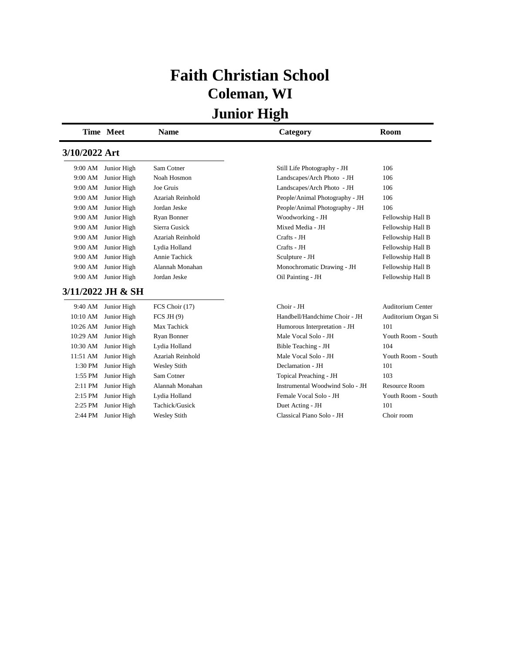# **Faith Christian School Coleman, WI**

|               | Time Meet         | <b>Name</b>         | Category                        | <b>Room</b>              |
|---------------|-------------------|---------------------|---------------------------------|--------------------------|
| 3/10/2022 Art |                   |                     |                                 |                          |
| 9:00 AM       | Junior High       | Sam Cotner          | Still Life Photography - JH     | 106                      |
| 9:00 AM       | Junior High       | Noah Hosmon         | Landscapes/Arch Photo - JH      | 106                      |
| 9:00 AM       | Junior High       | Joe Gruis           | Landscapes/Arch Photo - JH      | 106                      |
| 9:00 AM       | Junior High       | Azariah Reinhold    | People/Animal Photography - JH  | 106                      |
| 9:00 AM       | Junior High       | Jordan Jeske        | People/Animal Photography - JH  | 106                      |
| 9:00 AM       | Junior High       | Ryan Bonner         | Woodworking - JH                | Fellowship Hall B        |
| 9:00 AM       | Junior High       | Sierra Gusick       | Mixed Media - JH                | Fellowship Hall B        |
| 9:00 AM       | Junior High       | Azariah Reinhold    | Crafts - JH                     | Fellowship Hall B        |
| 9:00 AM       | Junior High       | Lydia Holland       | Crafts - JH                     | Fellowship Hall B        |
| 9:00 AM       | Junior High       | Annie Tachick       | Sculpture - JH                  | Fellowship Hall B        |
| 9:00 AM       | Junior High       | Alannah Monahan     | Monochromatic Drawing - JH      | Fellowship Hall B        |
| 9:00 AM       | Junior High       | Jordan Jeske        | Oil Painting - JH               | Fellowship Hall B        |
|               | 3/11/2022 JH & SH |                     |                                 |                          |
| 9:40 AM       | Junior High       | FCS Choir (17)      | Choir - JH                      | <b>Auditorium Center</b> |
| 10:10 AM      | Junior High       | FCS JH $(9)$        | Handbell/Handchime Choir - JH   | Auditorium Organ Si      |
| 10:26 AM      | Junior High       | Max Tachick         | Humorous Interpretation - JH    | 101                      |
| 10:29 AM      | Junior High       | Ryan Bonner         | Male Vocal Solo - JH            | Youth Room - South       |
| 10:30 AM      | Junior High       | Lydia Holland       | Bible Teaching - JH             | 104                      |
| 11:51 AM      | Junior High       | Azariah Reinhold    | Male Vocal Solo - JH            | Youth Room - South       |
| 1:30 PM       | Junior High       | <b>Wesley Stith</b> | Declamation - JH                | 101                      |
| 1:55 PM       | Junior High       | Sam Cotner          | Topical Preaching - JH          | 103                      |
| $2:11$ PM     | Junior High       | Alannah Monahan     | Instrumental Woodwind Solo - JH | <b>Resource Room</b>     |
| $2:15$ PM     | Junior High       | Lydia Holland       | Female Vocal Solo - JH          | Youth Room - South       |
| 2:25 PM       | Junior High       | Tachick/Gusick      | Duet Acting - JH                | 101                      |
| 2:44 PM       | Junior High       | <b>Wesley Stith</b> | Classical Piano Solo - JH       | Choir room               |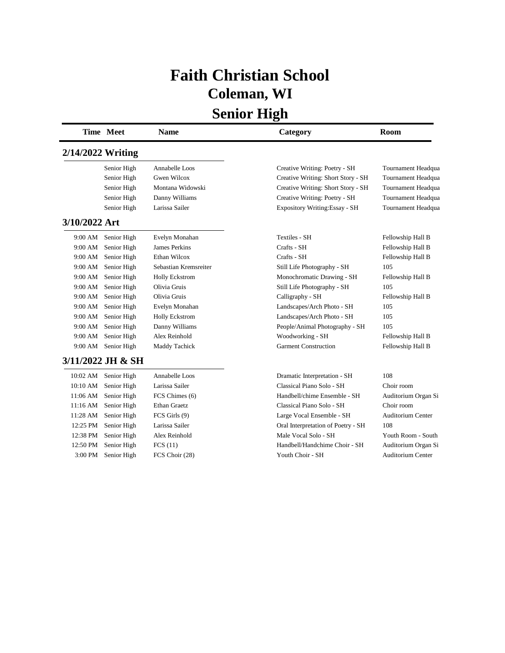# **Faith Christian School Coleman, WI**

|                   | Time Meet         | <b>Name</b>           | Category                           | Room                     |
|-------------------|-------------------|-----------------------|------------------------------------|--------------------------|
| 2/14/2022 Writing |                   |                       |                                    |                          |
|                   | Senior High       | Annabelle Loos        | Creative Writing: Poetry - SH      | Tournament Headqua       |
|                   | Senior High       | Gwen Wilcox           | Creative Writing: Short Story - SH | Tournament Headqua       |
|                   | Senior High       | Montana Widowski      | Creative Writing: Short Story - SH | Tournament Headqua       |
|                   | Senior High       | Danny Williams        | Creative Writing: Poetry - SH      | Tournament Headqua       |
|                   | Senior High       | Larissa Sailer        | Expository Writing: Essay - SH     | Tournament Headqua       |
| 3/10/2022 Art     |                   |                       |                                    |                          |
| 9:00 AM           | Senior High       | Evelyn Monahan        | Textiles - SH                      | Fellowship Hall B        |
| 9:00 AM           | Senior High       | James Perkins         | Crafts - SH                        | Fellowship Hall B        |
| 9:00 AM           | Senior High       | Ethan Wilcox          | Crafts - SH                        | Fellowship Hall B        |
| 9:00 AM           | Senior High       | Sebastian Kremsreiter | Still Life Photography - SH        | 105                      |
| 9:00 AM           | Senior High       | <b>Holly Eckstrom</b> | Monochromatic Drawing - SH         | Fellowship Hall B        |
| 9:00 AM           | Senior High       | Olivia Gruis          | Still Life Photography - SH        | 105                      |
| 9:00 AM           | Senior High       | Olivia Gruis          | Calligraphy - SH                   | Fellowship Hall B        |
| 9:00 AM           | Senior High       | Evelyn Monahan        | Landscapes/Arch Photo - SH         | 105                      |
| 9:00 AM           | Senior High       | <b>Holly Eckstrom</b> | Landscapes/Arch Photo - SH         | 105                      |
| 9:00 AM           | Senior High       | Danny Williams        | People/Animal Photography - SH     | 105                      |
| 9:00 AM           | Senior High       | Alex Reinhold         | Woodworking - SH                   | Fellowship Hall B        |
| 9:00 AM           | Senior High       | Maddy Tachick         | <b>Garment Construction</b>        | Fellowship Hall B        |
|                   | 3/11/2022 JH & SH |                       |                                    |                          |
| 10:02 AM          | Senior High       | Annabelle Loos        | Dramatic Interpretation - SH       | 108                      |
| 10:10 AM          | Senior High       | Larissa Sailer        | Classical Piano Solo - SH          | Choir room               |
| $11:06$ AM        | Senior High       | FCS Chimes (6)        | Handbell/chime Ensemble - SH       | Auditorium Organ Si      |
| 11:16 AM          | Senior High       | Ethan Graetz          | Classical Piano Solo - SH          | Choir room               |
| 11:28 AM          | Senior High       | FCS Girls (9)         | Large Vocal Ensemble - SH          | Auditorium Center        |
| 12:25 PM          | Senior High       | Larissa Sailer        | Oral Interpretation of Poetry - SH | 108                      |
| 12:38 PM          | Senior High       | Alex Reinhold         | Male Vocal Solo - SH               | Youth Room - South       |
| 12:50 PM          | Senior High       | FCS(11)               | Handbell/Handchime Choir - SH      | Auditorium Organ Si      |
| 3:00 PM           | Senior High       | FCS Choir (28)        | Youth Choir - SH                   | <b>Auditorium Center</b> |
|                   |                   |                       |                                    |                          |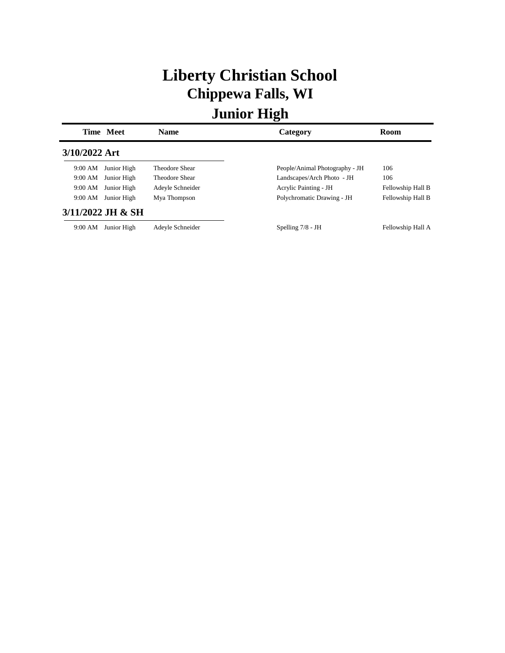# **Liberty Christian School Chippewa Falls, WI**

|               | Time Meet         | <b>Name</b>      | Category                       | Room              |
|---------------|-------------------|------------------|--------------------------------|-------------------|
| 3/10/2022 Art |                   |                  |                                |                   |
| 9:00 AM       | Junior High       | Theodore Shear   | People/Animal Photography - JH | 106               |
| 9:00 AM       | Junior High       | Theodore Shear   | Landscapes/Arch Photo - JH     | 106               |
| 9:00 AM       | Junior High       | Adeyle Schneider | Acrylic Painting - JH          | Fellowship Hall B |
| 9:00 AM       | Junior High       | Mya Thompson     | Polychromatic Drawing - JH     | Fellowship Hall B |
|               | 3/11/2022 JH & SH |                  |                                |                   |
| 9:00 AM       | Junior High       | Adeyle Schneider | Spelling $7/8$ - JH            | Fellowship Hall A |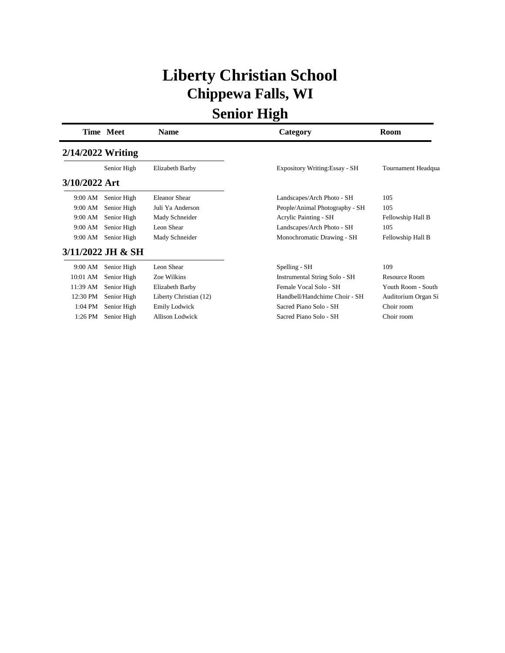# **Liberty Christian School Chippewa Falls, WI**

|                     | <b>Time Meet</b>  | Name                   | Category                             | Room                |
|---------------------|-------------------|------------------------|--------------------------------------|---------------------|
| $2/14/2022$ Writing |                   |                        |                                      |                     |
|                     | Senior High       | Elizabeth Barby        | Expository Writing: Essay - SH       | Tournament Headqua  |
| 3/10/2022 Art       |                   |                        |                                      |                     |
| 9:00 AM             | Senior High       | <b>Eleanor Shear</b>   | Landscapes/Arch Photo - SH           | 105                 |
| 9:00 AM             | Senior High       | Juli Ya Anderson       | People/Animal Photography - SH       | 105                 |
| 9:00 AM             | Senior High       | Mady Schneider         | <b>Acrylic Painting - SH</b>         | Fellowship Hall B   |
| 9:00 AM             | Senior High       | Leon Shear             | Landscapes/Arch Photo - SH           | 105                 |
| 9:00 AM             | Senior High       | Mady Schneider         | Monochromatic Drawing - SH           | Fellowship Hall B   |
|                     | 3/11/2022 JH & SH |                        |                                      |                     |
| 9:00 AM             | Senior High       | Leon Shear             | Spelling - SH                        | 109                 |
| 10:01 AM            | Senior High       | Zoe Wilkins            | <b>Instrumental String Solo - SH</b> | Resource Room       |
| 11:39 AM            | Senior High       | Elizabeth Barby        | Female Vocal Solo - SH               | Youth Room - South  |
| 12:30 PM            | Senior High       | Liberty Christian (12) | Handbell/Handchime Choir - SH        | Auditorium Organ Si |
| 1:04 PM             | Senior High       | <b>Emily Lodwick</b>   | Sacred Piano Solo - SH               | Choir room          |
| 1:26 PM             | Senior High       | <b>Allison Lodwick</b> | Sacred Piano Solo - SH               | Choir room          |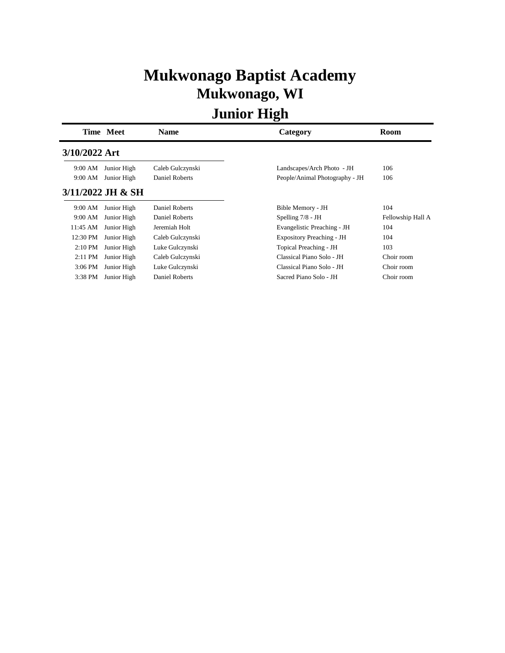## **Mukwonago Baptist Academy Mukwonago, WI**

|               | Time Meet         | <b>Name</b>      | Category                         | Room              |
|---------------|-------------------|------------------|----------------------------------|-------------------|
| 3/10/2022 Art |                   |                  |                                  |                   |
| 9:00 AM       | Junior High       | Caleb Gulczynski | Landscapes/Arch Photo - JH       | 106               |
| 9:00 AM       | Junior High       | Daniel Roberts   | People/Animal Photography - JH   | 106               |
|               | 3/11/2022 JH & SH |                  |                                  |                   |
| 9:00 AM       | Junior High       | Daniel Roberts   | Bible Memory - JH                | 104               |
| 9:00 AM       | Junior High       | Daniel Roberts   | Spelling $7/8$ - JH              | Fellowship Hall A |
| 11:45 AM      | Junior High       | Jeremiah Holt    | Evangelistic Preaching - JH      | 104               |
| 12:30 PM      | Junior High       | Caleb Gulczynski | <b>Expository Preaching - JH</b> | 104               |
| $2:10$ PM     | Junior High       | Luke Gulczynski  | Topical Preaching - JH           | 103               |
| $2:11$ PM     | Junior High       | Caleb Gulczynski | Classical Piano Solo - JH        | Choir room        |
| 3:06 PM       | Junior High       | Luke Gulczynski  | Classical Piano Solo - JH        | Choir room        |
| 3:38 PM       | Junior High       | Daniel Roberts   | Sacred Piano Solo - JH           | Choir room        |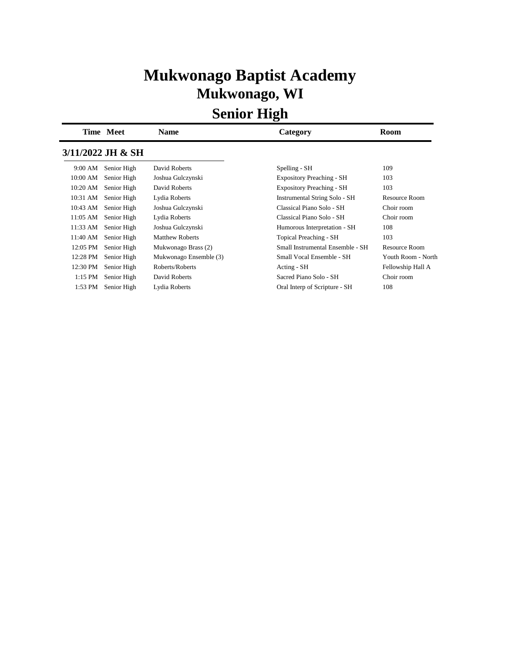## **Mukwonago Baptist Academy Mukwonago, WI**

|          | Time Meet         | <b>Name</b>            | Category                             | Room                 |
|----------|-------------------|------------------------|--------------------------------------|----------------------|
|          | 3/11/2022 JH & SH |                        |                                      |                      |
| 9:00 AM  | Senior High       | David Roberts          | Spelling - SH                        | 109                  |
| 10:00 AM | Senior High       | Joshua Gulczynski      | <b>Expository Preaching - SH</b>     | 103                  |
| 10:20 AM | Senior High       | David Roberts          | <b>Expository Preaching - SH</b>     | 103                  |
| 10:31 AM | Senior High       | Lydia Roberts          | <b>Instrumental String Solo - SH</b> | <b>Resource Room</b> |
| 10:43 AM | Senior High       | Joshua Gulczynski      | Classical Piano Solo - SH            | Choir room           |
| 11:05 AM | Senior High       | Lydia Roberts          | Classical Piano Solo - SH            | Choir room           |
| 11:33 AM | Senior High       | Joshua Gulczynski      | Humorous Interpretation - SH         | 108                  |
| 11:40 AM | Senior High       | <b>Matthew Roberts</b> | Topical Preaching - SH               | 103                  |
| 12:05 PM | Senior High       | Mukwonago Brass (2)    | Small Instrumental Ensemble - SH     | Resource Room        |
| 12:28 PM | Senior High       | Mukwonago Ensemble (3) | Small Vocal Ensemble - SH            | Youth Room - North   |
| 12:30 PM | Senior High       | Roberts/Roberts        | Acting - SH                          | Fellowship Hall A    |
| 1:15 PM  | Senior High       | David Roberts          | Sacred Piano Solo - SH               | Choir room           |
| 1:53 PM  | Senior High       | Lydia Roberts          | Oral Interp of Scripture - SH        | 108                  |
|          |                   |                        |                                      |                      |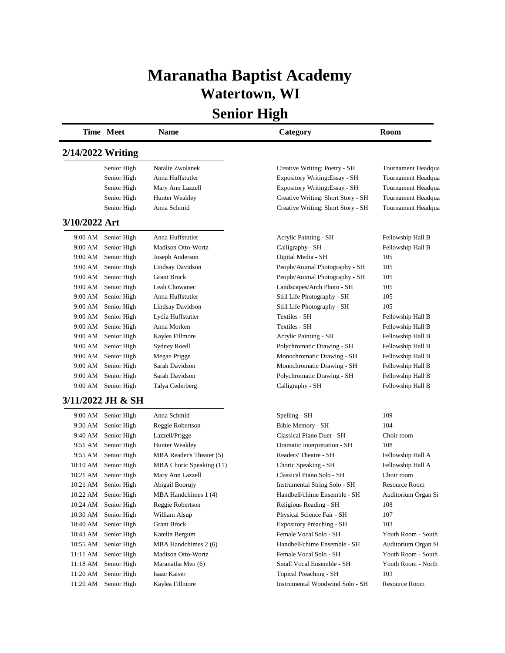#### **Maranatha Baptist Academy Watertown, WI**

|                   | Time Meet            | <b>Name</b>               | Category                           | Room                |
|-------------------|----------------------|---------------------------|------------------------------------|---------------------|
| 2/14/2022 Writing |                      |                           |                                    |                     |
|                   | Senior High          | Natalie Zwolanek          | Creative Writing: Poetry - SH      | Tournament Headqua  |
|                   | Senior High          | Anna Huffstutler          | Expository Writing: Essay - SH     | Tournament Headqua  |
|                   | Senior High          | Mary Ann Lazzell          | Expository Writing: Essay - SH     | Tournament Headqua  |
|                   | Senior High          | Hunter Weakley            | Creative Writing: Short Story - SH | Tournament Headqua  |
|                   | Senior High          | Anna Schmid               | Creative Writing: Short Story - SH | Tournament Headqua  |
| 3/10/2022 Art     |                      |                           |                                    |                     |
|                   | 9:00 AM Senior High  | Anna Huffstutler          | Acrylic Painting - SH              | Fellowship Hall B   |
| 9:00 AM           | Senior High          | <b>Madison Otto-Wortz</b> | Calligraphy - SH                   | Fellowship Hall B   |
|                   | 9:00 AM Senior High  | Joseph Anderson           | Digital Media - SH                 | 105                 |
|                   | 9:00 AM Senior High  | Lindsay Davidson          | People/Animal Photography - SH     | 105                 |
|                   | 9:00 AM Senior High  | <b>Grant Brock</b>        | People/Animal Photography - SH     | 105                 |
| 9:00 AM           | Senior High          | Leah Chowanec             | Landscapes/Arch Photo - SH         | 105                 |
| 9:00 AM           | Senior High          | Anna Huffstutler          | Still Life Photography - SH        | 105                 |
| 9:00 AM           | Senior High          | Lindsay Davidson          | Still Life Photography - SH        | 105                 |
| 9:00 AM           | Senior High          | Lydia Huffstutler         | Textiles - SH                      | Fellowship Hall B   |
| 9:00 AM           | Senior High          | Anna Morken               | Textiles - SH                      | Fellowship Hall B   |
| 9:00 AM           | Senior High          | Kaylea Fillmore           | Acrylic Painting - SH              | Fellowship Hall B   |
| 9:00 AM           | Senior High          | <b>Sydney Roedl</b>       | Polychromatic Drawing - SH         | Fellowship Hall B   |
| 9:00 AM           | Senior High          | Megan Prigge              | Monochromatic Drawing - SH         | Fellowship Hall B   |
| 9:00 AM           | Senior High          | Sarah Davidson            | Monochromatic Drawing - SH         | Fellowship Hall B   |
| 9:00 AM           | Senior High          | Sarah Davidson            | Polychromatic Drawing - SH         | Fellowship Hall B   |
| 9:00 AM           | Senior High          | Talya Cederberg           | Calligraphy - SH                   | Fellowship Hall B   |
|                   | 3/11/2022 JH & SH    |                           |                                    |                     |
| 9:00 AM           | Senior High          | Anna Schmid               | Spelling - SH                      | 109                 |
| 9:30 AM           | Senior High          | Reggie Robertson          | Bible Memory - SH                  | 104                 |
|                   | 9:40 AM Senior High  | Lazzell/Prigge            | Classical Piano Duet - SH          | Choir room          |
| 9:51 AM           | Senior High          | Hunter Weakley            | Dramatic Interpretation - SH       | 108                 |
|                   | 9:55 AM Senior High  | MBA Reader's Theater (5)  | Readers' Theatre - SH              | Fellowship Hall A   |
|                   | 10:10 AM Senior High | MBA Choric Speaking (11)  | Choric Speaking - SH               | Fellowship Hall A   |
| 10:21 AM          | Senior High          | Mary Ann Lazzell          | Classical Piano Solo - SH          | Choir room          |
| 10:21 AM          | Senior High          | Abigail Boorujy           | Instrumental String Solo - SH      | Resource Room       |
|                   | 10:22 AM Senior High | MBA Handchimes 1 (4)      | Handbell/chime Ensemble - SH       | Auditorium Organ Si |
| 10:24 AM          | Senior High          | Reggie Robertson          | Religious Reading - SH             | 108                 |
| 10:30 AM          | Senior High          | William Alsup             | Physical Science Fair - SH         | 107                 |
| 10:40 AM          | Senior High          | <b>Grant Brock</b>        | <b>Expository Preaching - SH</b>   | 103                 |
| 10:43 AM          | Senior High          | Katelin Bergum            | Female Vocal Solo - SH             | Youth Room - South  |
| 10:55 AM          | Senior High          | MBA Handchimes 2 (6)      | Handbell/chime Ensemble - SH       | Auditorium Organ Si |
| 11:11 AM          | Senior High          | Madison Otto-Wortz        | Female Vocal Solo - SH             | Youth Room - South  |
| $11:18$ AM $\,$   | Senior High          | Maranatha Men (6)         | Small Vocal Ensemble - SH          | Youth Room - North  |
| 11:20 AM          | Senior High          | Isaac Kaiser              | Topical Preaching - SH             | 103                 |
| 11:20 AM          | Senior High          | Kaylea Fillmore           | Instrumental Woodwind Solo - SH    | Resource Room       |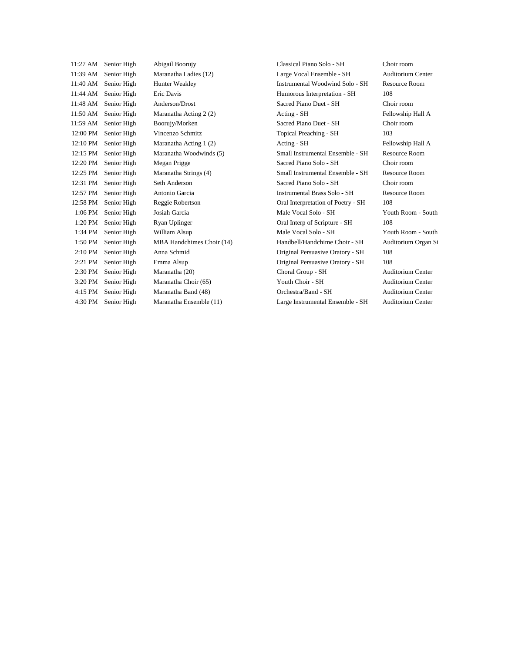| 11:27 AM | Senior High | Abigail Boorujy           | Classical Piano Solo - SH           | Choir room               |
|----------|-------------|---------------------------|-------------------------------------|--------------------------|
| 11:39 AM | Senior High | Maranatha Ladies (12)     | Large Vocal Ensemble - SH           | <b>Auditorium Center</b> |
| 11:40 AM | Senior High | Hunter Weakley            | Instrumental Woodwind Solo - SH     | <b>Resource Room</b>     |
| 11:44 AM | Senior High | Eric Davis                | Humorous Interpretation - SH        | 108                      |
| 11:48 AM | Senior High | Anderson/Drost            | Sacred Piano Duet - SH              | Choir room               |
| 11:50 AM | Senior High | Maranatha Acting 2 (2)    | Acting - SH                         | Fellowship Hall A        |
| 11:59 AM | Senior High | Boorujy/Morken            | Sacred Piano Duet - SH              | Choir room               |
| 12:00 PM | Senior High | Vincenzo Schmitz          | Topical Preaching - SH              | 103                      |
| 12:10 PM | Senior High | Maranatha Acting 1(2)     | Acting - SH                         | Fellowship Hall A        |
| 12:15 PM | Senior High | Maranatha Woodwinds (5)   | Small Instrumental Ensemble - SH    | <b>Resource Room</b>     |
| 12:20 PM | Senior High | Megan Prigge              | Sacred Piano Solo - SH              | Choir room               |
| 12:25 PM | Senior High | Maranatha Strings (4)     | Small Instrumental Ensemble - SH    | Resource Room            |
| 12:31 PM | Senior High | Seth Anderson             | Sacred Piano Solo - SH              | Choir room               |
| 12:57 PM | Senior High | Antonio Garcia            | <b>Instrumental Brass Solo - SH</b> | <b>Resource Room</b>     |
| 12:58 PM | Senior High | Reggie Robertson          | Oral Interpretation of Poetry - SH  | 108                      |
| 1:06 PM  | Senior High | Josiah Garcia             | Male Vocal Solo - SH                | Youth Room - South       |
| 1:20 PM  | Senior High | Ryan Uplinger             | Oral Interp of Scripture - SH       | 108                      |
| 1:34 PM  | Senior High | William Alsup             | Male Vocal Solo - SH                | Youth Room - South       |
| 1:50 PM  | Senior High | MBA Handchimes Choir (14) | Handbell/Handchime Choir - SH       | Auditorium Organ Si      |
| 2:10 PM  | Senior High | Anna Schmid               | Original Persuasive Oratory - SH    | 108                      |
| 2:21 PM  | Senior High | Emma Alsup                | Original Persuasive Oratory - SH    | 108                      |
| 2:30 PM  | Senior High | Maranatha (20)            | Choral Group - SH                   | <b>Auditorium Center</b> |
| 3:20 PM  | Senior High | Maranatha Choir (65)      | Youth Choir - SH                    | Auditorium Center        |
| 4:15 PM  | Senior High | Maranatha Band (48)       | Orchestra/Band - SH                 | <b>Auditorium Center</b> |
| 4:30 PM  | Senior High | Maranatha Ensemble (11)   | Large Instrumental Ensemble - SH    | <b>Auditorium Center</b> |
|          |             |                           |                                     |                          |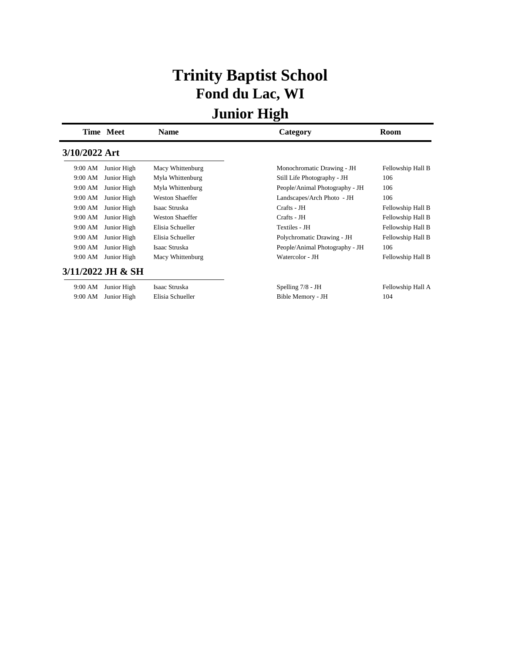## **Trinity Baptist School Fond du Lac, WI**

|               | Time Meet         | <b>Name</b>            | Category                       | Room              |
|---------------|-------------------|------------------------|--------------------------------|-------------------|
| 3/10/2022 Art |                   |                        |                                |                   |
| 9:00 AM       | Junior High       | Macy Whittenburg       | Monochromatic Drawing - JH     | Fellowship Hall B |
| 9:00 AM       | Junior High       | Myla Whittenburg       | Still Life Photography - JH    | 106               |
| 9:00 AM       | Junior High       | Myla Whittenburg       | People/Animal Photography - JH | 106               |
| 9:00 AM       | Junior High       | <b>Weston Shaeffer</b> | Landscapes/Arch Photo - JH     | 106               |
| 9:00 AM       | Junior High       | Isaac Struska          | Crafts - JH                    | Fellowship Hall B |
| 9:00 AM       | Junior High       | <b>Weston Shaeffer</b> | Crafts - JH                    | Fellowship Hall B |
| 9:00 AM       | Junior High       | Elisia Schueller       | Textiles - JH                  | Fellowship Hall B |
| 9:00 AM       | Junior High       | Elisia Schueller       | Polychromatic Drawing - JH     | Fellowship Hall B |
| 9:00 AM       | Junior High       | Isaac Struska          | People/Animal Photography - JH | 106               |
| 9:00 AM       | Junior High       | Macy Whittenburg       | Watercolor - JH                | Fellowship Hall B |
|               | 3/11/2022 JH & SH |                        |                                |                   |
| 9:00 AM       | Junior High       | Isaac Struska          | Spelling $7/8$ - JH            | Fellowship Hall A |
| 9:00 AM       | Junior High       | Elisia Schueller       | Bible Memory - JH              | 104               |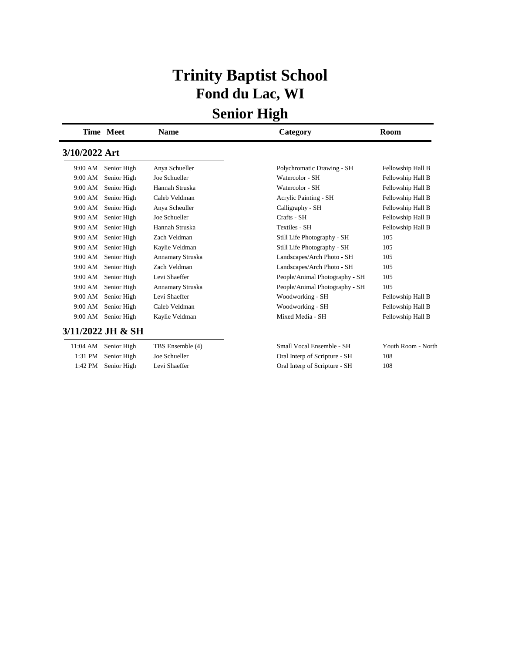## **Trinity Baptist School Fond du Lac, WI**

|               | Time Meet         | Name             | Category                       | Room               |
|---------------|-------------------|------------------|--------------------------------|--------------------|
| 3/10/2022 Art |                   |                  |                                |                    |
| 9:00 AM       | Senior High       | Anya Schueller   | Polychromatic Drawing - SH     | Fellowship Hall B  |
| 9:00 AM       | Senior High       | Joe Schueller    | Watercolor - SH                | Fellowship Hall B  |
| 9:00 AM       | Senior High       | Hannah Struska   | Watercolor - SH                | Fellowship Hall B  |
| 9:00 AM       | Senior High       | Caleb Veldman    | Acrylic Painting - SH          | Fellowship Hall B  |
| 9:00 AM       | Senior High       | Anya Scheuller   | Calligraphy - SH               | Fellowship Hall B  |
| 9:00 AM       | Senior High       | Joe Schueller    | Crafts - SH                    | Fellowship Hall B  |
| 9:00 AM       | Senior High       | Hannah Struska   | <b>Textiles - SH</b>           | Fellowship Hall B  |
| 9:00 AM       | Senior High       | Zach Veldman     | Still Life Photography - SH    | 105                |
| 9:00 AM       | Senior High       | Kaylie Veldman   | Still Life Photography - SH    | 105                |
| 9:00 AM       | Senior High       | Annamary Struska | Landscapes/Arch Photo - SH     | 105                |
| 9:00 AM       | Senior High       | Zach Veldman     | Landscapes/Arch Photo - SH     | 105                |
| 9:00 AM       | Senior High       | Levi Shaeffer    | People/Animal Photography - SH | 105                |
| 9:00 AM       | Senior High       | Annamary Struska | People/Animal Photography - SH | 105                |
| 9:00 AM       | Senior High       | Levi Shaeffer    | Woodworking - SH               | Fellowship Hall B  |
| 9:00 AM       | Senior High       | Caleb Veldman    | Woodworking - SH               | Fellowship Hall B  |
| 9:00 AM       | Senior High       | Kaylie Veldman   | Mixed Media - SH               | Fellowship Hall B  |
|               | 3/11/2022 JH & SH |                  |                                |                    |
| 11:04 AM      | Senior High       | TBS Ensemble (4) | Small Vocal Ensemble - SH      | Youth Room - North |
| 1:31 PM       | Senior High       | Joe Schueller    | Oral Interp of Scripture - SH  | 108                |
| 1:42 PM       | Senior High       | Levi Shaeffer    | Oral Interp of Scripture - SH  | 108                |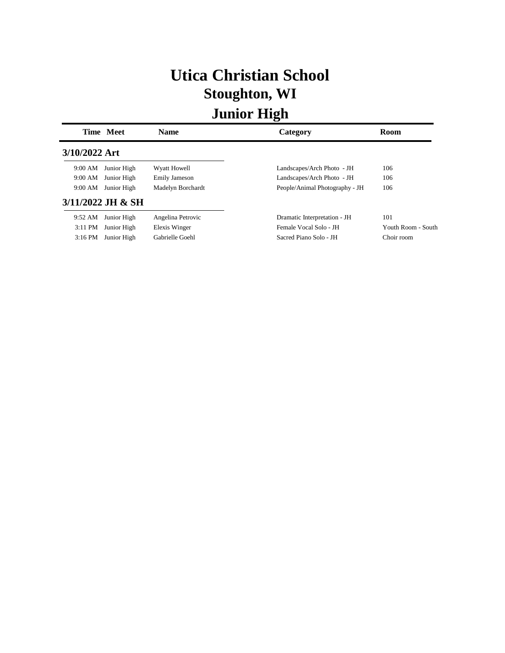# **Utica Christian School Stoughton, WI**

|               | Time Meet         | <b>Name</b>          | Category                       | Room               |
|---------------|-------------------|----------------------|--------------------------------|--------------------|
| 3/10/2022 Art |                   |                      |                                |                    |
| 9:00 AM       | Junior High       | Wyatt Howell         | Landscapes/Arch Photo - JH     | 106                |
| 9:00 AM       | Junior High       | <b>Emily Jameson</b> | Landscapes/Arch Photo - JH     | 106                |
| 9:00 AM       | Junior High       | Madelyn Borchardt    | People/Animal Photography - JH | 106                |
|               | 3/11/2022 JH & SH |                      |                                |                    |
| 9:52 AM       | Junior High       | Angelina Petrovic    | Dramatic Interpretation - JH   | 101                |
| $3:11$ PM     | Junior High       | Elexis Winger        | Female Vocal Solo - JH         | Youth Room - South |
| $3:16$ PM     | Junior High       | Gabrielle Goehl      | Sacred Piano Solo - JH         | Choir room         |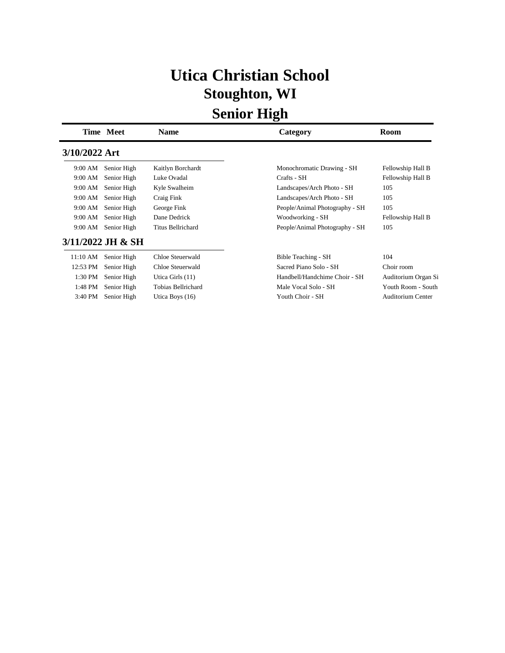## **Utica Christian School Stoughton, WI**

|               | <b>Time Meet</b>  | <b>Name</b>              | Category                       | <b>Room</b>              |
|---------------|-------------------|--------------------------|--------------------------------|--------------------------|
| 3/10/2022 Art |                   |                          |                                |                          |
| 9:00 AM       | Senior High       | Kaitlyn Borchardt        | Monochromatic Drawing - SH     | Fellowship Hall B        |
| 9:00 AM       | Senior High       | Luke Ovadal              | Crafts - SH                    | Fellowship Hall B        |
| 9:00 AM       | Senior High       | Kyle Swalheim            | Landscapes/Arch Photo - SH     | 105                      |
| 9:00 AM       | Senior High       | Craig Fink               | Landscapes/Arch Photo - SH     | 105                      |
| 9:00 AM       | Senior High       | George Fink              | People/Animal Photography - SH | 105                      |
| 9:00 AM       | Senior High       | Dane Dedrick             | Woodworking - SH               | Fellowship Hall B        |
| 9:00 AM       | Senior High       | <b>Titus Bellrichard</b> | People/Animal Photography - SH | 105                      |
|               | 3/11/2022 JH & SH |                          |                                |                          |
| 11:10 AM      | Senior High       | Chloe Steuerwald         | Bible Teaching - SH            | 104                      |
| 12:53 PM      | Senior High       | Chloe Steuerwald         | Sacred Piano Solo - SH         | Choir room               |
| 1:30 PM       | Senior High       | Utica Girls (11)         | Handbell/Handchime Choir - SH  | Auditorium Organ Si      |
| 1:48 PM       | Senior High       | Tobias Bellrichard       | Male Vocal Solo - SH           | Youth Room - South       |
| 3:40 PM       | Senior High       | Utica Boys $(16)$        | Youth Choir - SH               | <b>Auditorium Center</b> |
|               |                   |                          |                                |                          |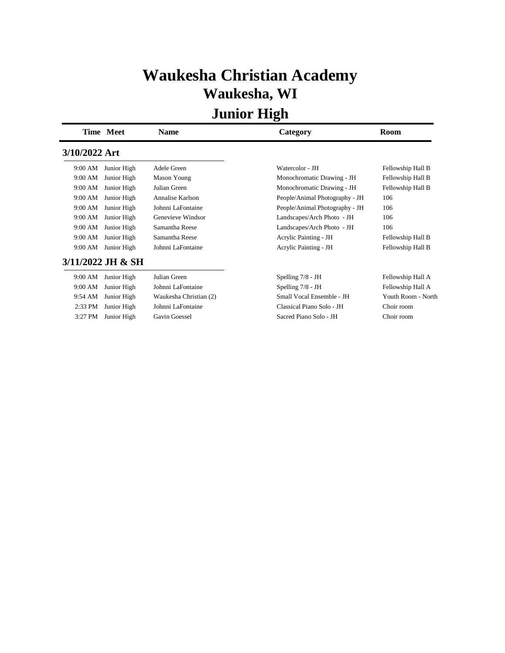## **Waukesha Christian Academy Waukesha, WI**

|               | Time Meet         | <b>Name</b>            | Category                       | Room               |
|---------------|-------------------|------------------------|--------------------------------|--------------------|
| 3/10/2022 Art |                   |                        |                                |                    |
| 9:00 AM       | Junior High       | Adele Green            | Watercolor - JH                | Fellowship Hall B  |
| 9:00 AM       | Junior High       | Mason Young            | Monochromatic Drawing - JH     | Fellowship Hall B  |
| 9:00 AM       | Junior High       | Julian Green           | Monochromatic Drawing - JH     | Fellowship Hall B  |
| 9:00 AM       | Junior High       | Annalise Karlson       | People/Animal Photography - JH | 106                |
| 9:00 AM       | Junior High       | Johnni LaFontaine      | People/Animal Photography - JH | 106                |
| 9:00 AM       | Junior High       | Genevieve Windsor      | Landscapes/Arch Photo - JH     | 106                |
| 9:00 AM       | Junior High       | Samantha Reese         | Landscapes/Arch Photo - JH     | 106                |
| 9:00 AM       | Junior High       | Samantha Reese         | Acrylic Painting - JH          | Fellowship Hall B  |
| 9:00 AM       | Junior High       | Johnni LaFontaine      | Acrylic Painting - JH          | Fellowship Hall B  |
|               | 3/11/2022 JH & SH |                        |                                |                    |
| 9:00 AM       | Junior High       | Julian Green           | Spelling $7/8$ - JH            | Fellowship Hall A  |
| 9:00 AM       | Junior High       | Johnni LaFontaine      | Spelling $7/8$ - JH            | Fellowship Hall A  |
| 9:54 AM       | Junior High       | Waukesha Christian (2) | Small Vocal Ensemble - JH      | Youth Room - North |
| 2:33 PM       | Junior High       | Johnni LaFontaine      | Classical Piano Solo - JH      | Choir room         |
| 3:27 PM       | Junior High       | Gavin Goessel          | Sacred Piano Solo - JH         | Choir room         |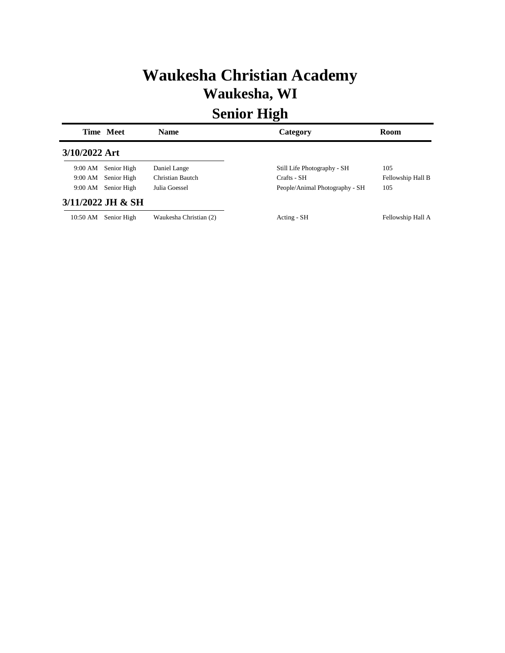## **Waukesha Christian Academy Waukesha, WI**

|               | Time Meet           | <b>Name</b>            | Category                       | <b>Room</b>       |
|---------------|---------------------|------------------------|--------------------------------|-------------------|
| 3/10/2022 Art |                     |                        |                                |                   |
| 9:00 AM       | Senior High         | Daniel Lange           | Still Life Photography - SH    | 105               |
| 9:00 AM       | Senior High         | Christian Bautch       | Crafts - SH                    | Fellowship Hall B |
| 9:00 AM       | Senior High         | Julia Goessel          | People/Animal Photography - SH | 105               |
|               | $3/11/2022$ JH & SH |                        |                                |                   |
| 10:50 AM      | Senior High         | Waukesha Christian (2) | Acting - SH                    | Fellowship Hall A |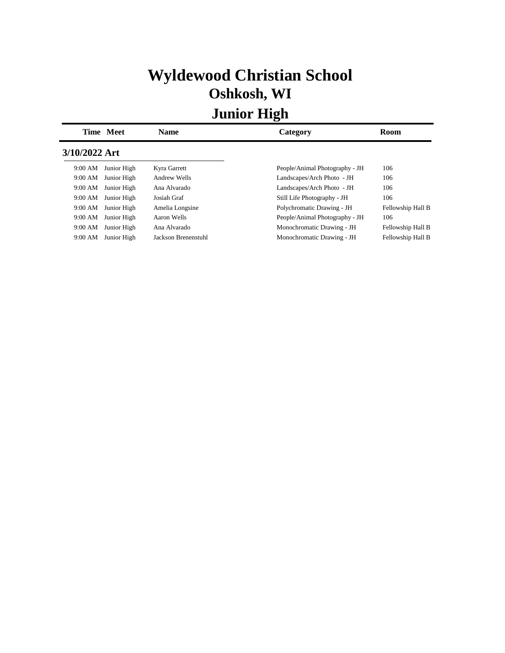# **Wyldewood Christian School Oshkosh, WI**

|               | Time Meet   | <b>Name</b>         | Category                       | Room              |
|---------------|-------------|---------------------|--------------------------------|-------------------|
| 3/10/2022 Art |             |                     |                                |                   |
| 9:00 AM       | Junior High | Kyra Garrett        | People/Animal Photography - JH | 106               |
| 9:00 AM       | Junior High | Andrew Wells        | Landscapes/Arch Photo - JH     | 106               |
| 9:00 AM       | Junior High | Ana Alvarado        | Landscapes/Arch Photo - JH     | 106               |
| 9:00 AM       | Junior High | Josiah Graf         | Still Life Photography - JH    | 106               |
| 9:00 AM       | Junior High | Amelia Longsine     | Polychromatic Drawing - JH     | Fellowship Hall B |
| 9:00 AM       | Junior High | Aaron Wells         | People/Animal Photography - JH | 106               |
| 9:00 AM       | Junior High | Ana Alvarado        | Monochromatic Drawing - JH     | Fellowship Hall B |
| 9:00 AM       | Junior High | Jackson Brenenstuhl | Monochromatic Drawing - JH     | Fellowship Hall B |